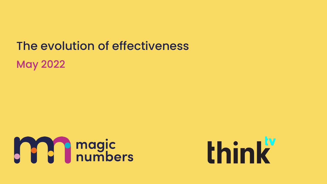The evolution of effectiveness

May 2022



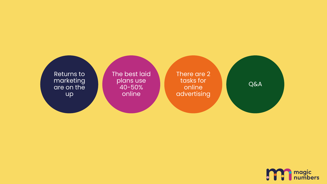

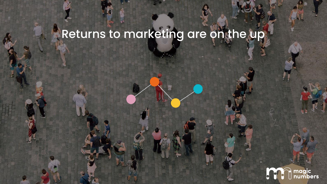## Returns to marketing are on the up

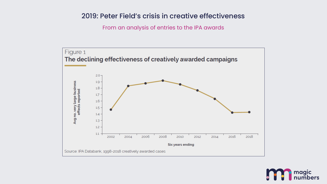#### 2019: Peter Field's crisis in creative effectiveness

From an analysis of entries to the IPA awards



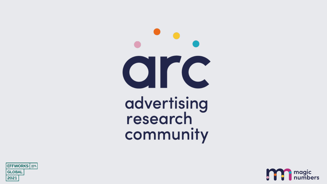CIFC advertising<br>research community



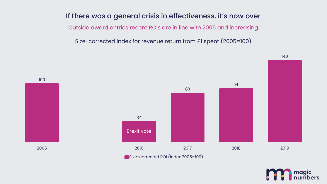#### If there was a general crisis in effectiveness, it's now over

Outside award entries recent ROIs are in line with 2005 and increasing

Size-corrected index for revenue return from £1 spent (2005=100)



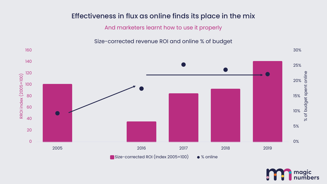#### Effectiveness in flux as online finds its place in the mix

And marketers learnt how to use it properly

Size-corrected revenue ROI and online % of budget



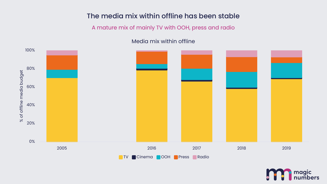#### The media mix within offline has been stable

#### A mature mix of mainly TV with OOH, press and radio

#### Media mix within offline



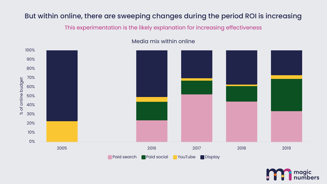#### But within online, there are sweeping changes during the period ROI is increasing

This experimentation is the likely explanation for increasing effectiveness



#### Media mix within online

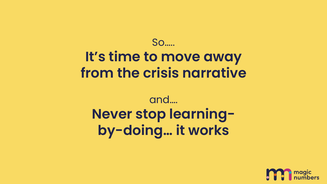So…..

## **It's time to move away from the crisis narrative**

## and…. **Never stop learningby-doing… it works**

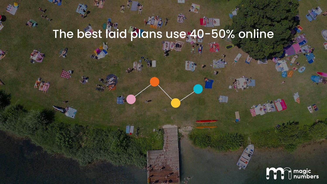# The best laid plans use 40-50% online

 $T_{\rm s}$ 

File

**KING** 

 $H_{\rm{NN}}$ 

A.

44

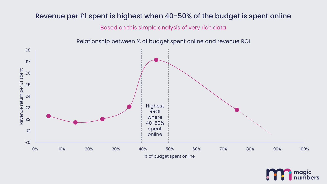#### Revenue per £1 spent is highest when 40-50% of the budget is spent online

Based on this simple analysis of very rich data



Relationship between % of budget spent online and revenue ROI

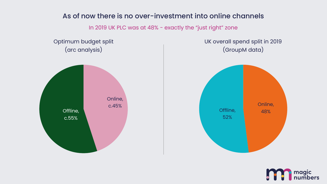#### As of now there is no over-investment into online channels

In 2019 UK PLC was at 48% - exactly the "just right" zone

Optimum budget split (arc analysis)



UK overall spend split in 2019 (GroupM data)



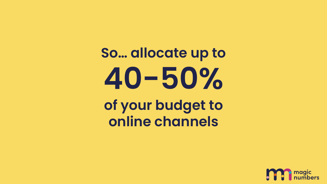## **So… allocate up to 40-50% of your budget to online channels**

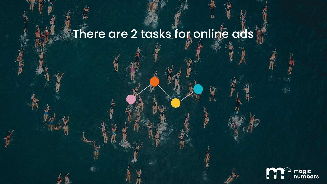## There are 2 tasks for online ads

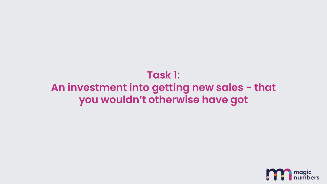## **Task 1: An investment into getting new sales - that you wouldn't otherwise have got**

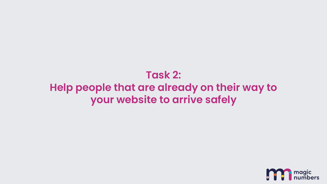## **Task 2: Help people that are already on their way to your website to arrive safely**

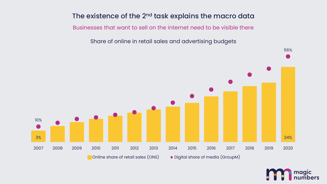#### The existence of the 2<sup>nd</sup> task explains the macro data

Businesses that want to sell on the internet need to be visible there

Share of online in retail sales and advertising budgets



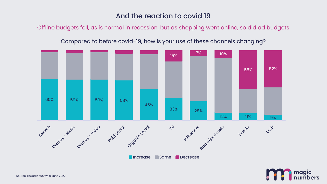#### And the reaction to covid 19

Offline budgets fell, as is normal in recession, but as shopping went online, so did ad budgets

Compared to before covid-19, how is your use of these channels changing?



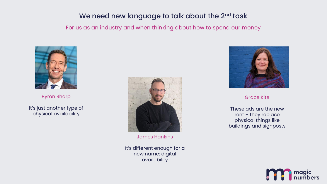#### We need new language to talk about the 2<sup>nd</sup> task

#### For us as an industry and when thinking about how to spend our money



Byron Sharp

It's just another type of physical availability



James Hankins

It's different enough for a new name: digital availability



Grace Kite

These ads are the new rent – they replace physical things like buildings and signposts

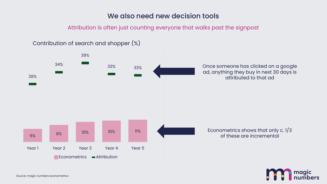#### We also need new decision tools

Attribution is often just counting everyone that walks past the signpost



Source: magic numbers econometrics

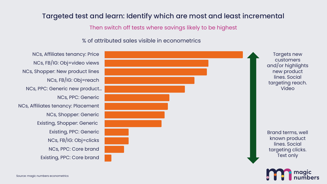#### Targeted test and learn: Identify which are most and least incremental

Then switch off tests where savings likely to be highest

% of attributed sales visible in econometrics

Existing, PPC: Core brand NCs, PPC: Core brand NCs, FB/IG: Obj=clicks Existing, PPC: Generic Existing, Shopper: Generic NCs, Shopper: Generic NCs, Affiliates tenancy: Placement NCs, PPC: Generic NCs, PPC: Generic new product… NCs, FB/IG: Obj=reach NCs, Shopper: New product lines NCs, FB/IG: Obj=video views NCs, Affiliates tenancy: Price



Targets new customers and/or highlights new product lines. Social targeting reach. Video

Brand terms, well known product lines. Social targeting clicks. Text only

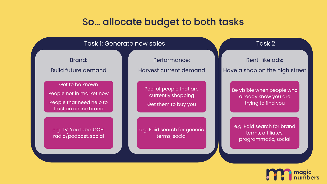#### So… allocate budget to both tasks